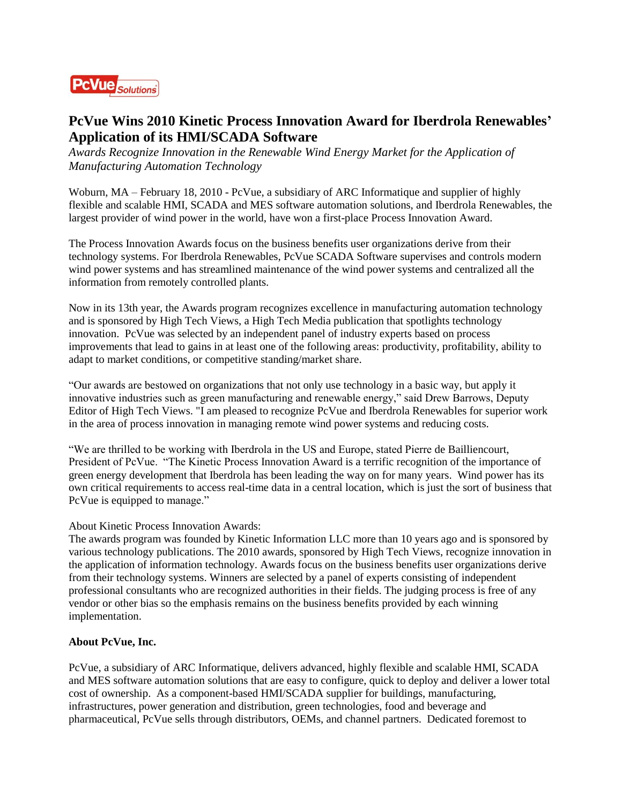

## **PcVue Wins 2010 Kinetic Process Innovation Award for [Iberdrola Renewables'](http://www.iberdrolarenewables.us/) Application of its HMI/SCADA Software**

*Awards Recognize Innovation in the Renewable Wind Energy Market for the Application of Manufacturing Automation Technology*

Woburn, MA – February 18, 2010 - PcVue, a subsidiary of ARC Informatique and supplier of highly flexible and scalabl[e HMI, SCADA and MES software automation](http://www.pcvuesolutions.com/index.php?option=com_content&view=article&id=10&Itemid=11&lang=en) solutions, and Iberdrola Renewables, the largest provider of wind power in the world, have won a first-place Process Innovation Award.

The Process Innovation Awards focus on the business benefits user organizations derive from their technology systems. For Iberdrola Renewables, PcVue SCADA Software supervises and controls modern wind power systems and has streamlined maintenance of the wind power systems and centralized all the information from remotely controlled plants.

Now in its 13th year, the Awards program recognizes excellence in manufacturing automation technology and is sponsored by High Tech Views, a High Tech Media publication that spotlights technology innovation. PcVue was selected by an independent panel of industry experts based on process improvements that lead to gains in at least one of the following areas: productivity, profitability, ability to adapt to market conditions, or competitive standing/market share.

"Our awards are bestowed on organizations that not only use technology in a basic way, but apply it innovative industries such as green manufacturing and renewable energy," said Drew Barrows, Deputy Editor of High Tech Views. "I am pleased to recognize PcVue and Iberdrola Renewables for superior work in the area of process innovation in managing remote wind power systems and reducing costs.

"We are thrilled to be working with Iberdrola in the US and Europe, stated Pierre de Bailliencourt, President of PcVue. "The Kinetic Process Innovation Award is a terrific recognition of the importance of green energy development that Iberdrola has been leading the way on for many years. Wind power has its own critical requirements to access real-time data in a central location, which is just the sort of business that PcVue is equipped to manage."

## About Kinetic Process Innovation Awards:

The awards program was founded by Kinetic Information LLC more than 10 years ago and is sponsored by various technology publications. The 2010 awards, sponsored by High Tech Views, recognize innovation in the application of information technology. Awards focus on the business benefits user organizations derive from their technology systems. Winners are selected by a panel of experts consisting of independent professional consultants who are recognized authorities in their fields. The judging process is free of any vendor or other bias so the emphasis remains on the business benefits provided by each winning implementation.

## **About PcVue, Inc.**

PcVue, a subsidiary of ARC Informatique, delivers advanced, highly flexible and scalable HMI, SCADA and MES software automation solutions that are easy to configure, quick to deploy and deliver a lower total cost of ownership. As a component-based HMI/SCADA supplier for buildings, manufacturing, infrastructures, power generation and distribution, green technologies, food and beverage and pharmaceutical, PcVue sells through distributors, OEMs, and channel partners. Dedicated foremost to